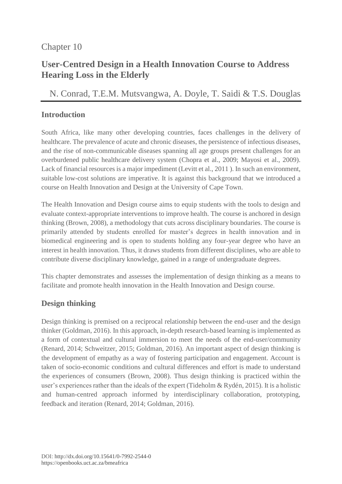# Chapter 10

# **User-Centred Design in a Health Innovation Course to Address Hearing Loss in the Elderly**

N. Conrad, T.E.M. [Mutsvangwa,](https://orcid.org/0000-0003-1210-2832) A. [Doyle,](https://orcid.org/0000-0002-1150-1367) T. [Saidi](https://orcid.org/0000-0002-9337-4268) & T.S. [Douglas](https://orcid.org/0000-0003-2024-4179)

### **Introduction**

South Africa, like many other developing countries, faces challenges in the delivery of healthcare. The prevalence of acute and chronic diseases, the persistence of infectious diseases, and the rise of non-communicable diseases spanning all age groups present challenges for an overburdened public healthcare delivery system (Chopra et al., 2009; Mayosi et al., 2009). Lack of financial resources is a major impediment (Levitt et al., 2011 ). In such an environment, suitable low-cost solutions are imperative. It is against this background that we introduced a course on Health Innovation and Design at the University of Cape Town.

The Health Innovation and Design course aims to equip students with the tools to design and evaluate context-appropriate interventions to improve health. The course is anchored in design thinking (Brown, 2008), a methodology that cuts across disciplinary boundaries. The course is primarily attended by students enrolled for master's degrees in health innovation and in biomedical engineering and is open to students holding any four-year degree who have an interest in health innovation. Thus, it draws students from different disciplines, who are able to contribute diverse disciplinary knowledge, gained in a range of undergraduate degrees.

This chapter demonstrates and assesses the implementation of design thinking as a means to facilitate and promote health innovation in the Health Innovation and Design course.

## **Design thinking**

Design thinking is premised on a reciprocal relationship between the end-user and the design thinker (Goldman, 2016). In this approach, in-depth research-based learning is implemented as a form of contextual and cultural immersion to meet the needs of the end-user/community (Renard, 2014; Schweitzer, 2015; Goldman, 2016). An important aspect of design thinking is the development of empathy as a way of fostering participation and engagement. Account is taken of socio-economic conditions and cultural differences and effort is made to understand the experiences of consumers (Brown, 2008). Thus design thinking is practiced within the user's experiences rather than the ideals of the expert (Tideholm & Rydén, 2015). It is a holistic and human-centred approach informed by interdisciplinary collaboration, prototyping, feedback and iteration (Renard, 2014; Goldman, 2016).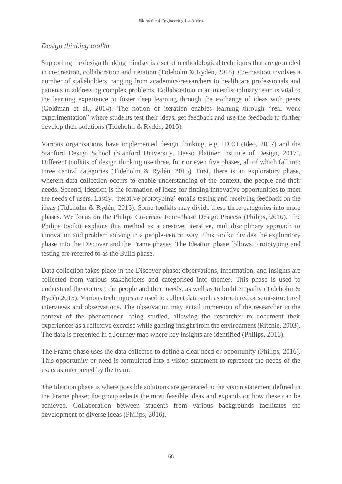### *Design thinking toolkit*

Supporting the design thinking mindset is a set of methodological techniques that are grounded in co-creation, collaboration and iteration (Tideholm & Rydén, 2015). Co-creation involves a number of stakeholders, ranging from academics/researchers to healthcare professionals and patients in addressing complex problems. Collaboration in an interdisciplinary team is vital to the learning experience to foster deep learning through the exchange of ideas with peers (Goldman et al., 2014). The notion of iteration enables learning through "real work experimentation" where students test their ideas, get feedback and use the feedback to further develop their solutions (Tideholm & Rydén, 2015).

Various organisations have implemented design thinking, e.g. IDEO (Ideo, 2017) and the Stanford Design School (Stanford University. Hasso Plattner Institute of Design, 2017). Different toolkits of design thinking use three, four or even five phases, all of which fall into three central categories (Tideholm & Rydén, 2015). First, there is an exploratory phase, wherein data collection occurs to enable understanding of the context, the people and their needs. Second, ideation is the formation of ideas for finding innovative opportunities to meet the needs of users. Lastly, 'iterative prototyping' entails testing and receiving feedback on the ideas (Tideholm & Rydén, 2015). Some toolkits may divide these three categories into more phases. We focus on the Philips Co-create Four-Phase Design Process (Philips, 2016). The Philips toolkit explains this method as a creative, iterative, multidisciplinary approach to innovation and problem solving in a people-centric way. This toolkit divides the exploratory phase into the Discover and the Frame phases. The Ideation phase follows. Prototyping and testing are referred to as the Build phase.

Data collection takes place in the Discover phase; observations, information, and insights are collected from various stakeholders and categorised into themes. This phase is used to understand the context, the people and their needs, as well as to build empathy (Tideholm & Rydén 2015). Various techniques are used to collect data such as structured or semi-structured interviews and observations. The observation may entail immersion of the researcher in the context of the phenomenon being studied, allowing the researcher to document their experiences as a reflexive exercise while gaining insight from the environment (Ritchie, 2003). The data is presented in a Journey map where key insights are identified (Philips, 2016).

The Frame phase uses the data collected to define a clear need or opportunity (Philips, 2016). This opportunity or need is formulated into a vision statement to represent the needs of the users as interpreted by the team.

The Ideation phase is where possible solutions are generated to the vision statement defined in the Frame phase; the group selects the most feasible ideas and expands on how these can be achieved. Collaboration between students from various backgrounds facilitates the development of diverse ideas (Philips, 2016).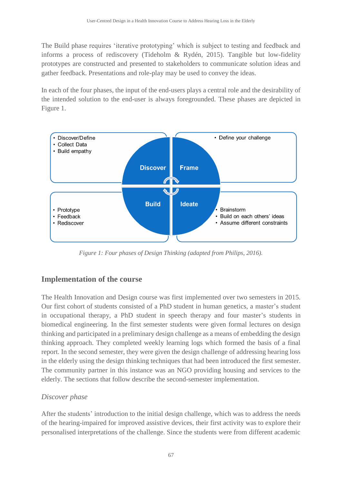The Build phase requires 'iterative prototyping' which is subject to testing and feedback and informs a process of rediscovery (Tideholm & Rydén, 2015). Tangible but low-fidelity prototypes are constructed and presented to stakeholders to communicate solution ideas and gather feedback. Presentations and role-play may be used to convey the ideas.

In each of the four phases, the input of the end-users plays a central role and the desirability of the intended solution to the end-user is always foregrounded. These phases are depicted in Figure 1.



*Figure 1: Four phases of Design Thinking (adapted from Philips, 2016).*

## **Implementation of the course**

The Health Innovation and Design course was first implemented over two semesters in 2015. Our first cohort of students consisted of a PhD student in human genetics, a master's student in occupational therapy, a PhD student in speech therapy and four master's students in biomedical engineering. In the first semester students were given formal lectures on design thinking and participated in a preliminary design challenge as a means of embedding the design thinking approach. They completed weekly learning logs which formed the basis of a final report. In the second semester, they were given the design challenge of addressing hearing loss in the elderly using the design thinking techniques that had been introduced the first semester. The community partner in this instance was an NGO providing housing and services to the elderly. The sections that follow describe the second-semester implementation.

### *Discover phase*

After the students' introduction to the initial design challenge, which was to address the needs of the hearing-impaired for improved assistive devices, their first activity was to explore their personalised interpretations of the challenge. Since the students were from different academic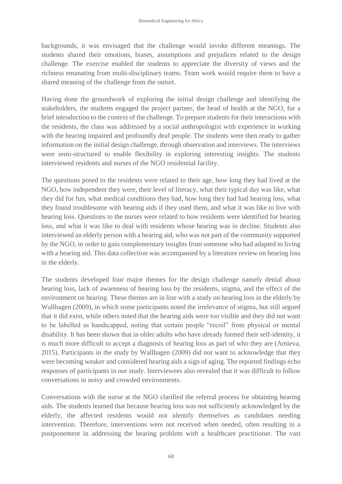backgrounds, it was envisaged that the challenge would invoke different meanings. The students shared their emotions, biases, assumptions and prejudices related to the design challenge. The exercise enabled the students to appreciate the diversity of views and the richness emanating from multi-disciplinary teams. Team work would require them to have a shared meaning of the challenge from the outset.

Having done the groundwork of exploring the initial design challenge and identifying the stakeholders, the students engaged the project partner, the head of health at the NGO, for a brief introduction to the context of the challenge. To prepare students for their interactions with the residents, the class was addressed by a social anthropologist with experience in working with the hearing impaired and profoundly deaf people. The students were then ready to gather information on the initial design challenge, through observation and interviews. The interviews were semi-structured to enable flexibility in exploring interesting insights. The students interviewed residents and nurses of the NGO residential facility.

The questions posed to the residents were related to their age, how long they had lived at the NGO, how independent they were, their level of literacy, what their typical day was like, what they did for fun, what medical conditions they had, how long they had had hearing loss, what they found troublesome with hearing aids if they used them, and what it was like to live with hearing loss. Questions to the nurses were related to how residents were identified for hearing loss, and what it was like to deal with residents whose hearing was in decline. Students also interviewed an elderly person with a hearing aid, who was not part of the community supported by the NGO, in order to gain complementary insights from someone who had adapted to living with a hearing aid. This data collection was accompanied by a literature review on hearing loss in the elderly.

The students developed four major themes for the design challenge namely denial about hearing loss, lack of awareness of hearing loss by the residents, stigma, and the effect of the environment on hearing. These themes are in line with a study on hearing loss in the elderly by Wallhagen (2009), in which some participants noted the irrelevance of stigma, but still argued that it did exist, while others noted that the hearing aids were too visible and they did not want to be labelled as handicapped, noting that certain people "recoil" from physical or mental disability. It has been shown that in older adults who have already formed their self-identity, it is much more difficult to accept a diagnosis of hearing loss as part of who they are (Amieva, 2015). Participants in the study by Wallhagen (2009) did not want to acknowledge that they were becoming weaker and considered hearing aids a sign of aging. The reported findings echo responses of participants in our study. Interviewees also revealed that it was difficult to follow conversations in noisy and crowded environments.

Conversations with the nurse at the NGO clarified the referral process for obtaining hearing aids. The students learned that because hearing loss was not sufficiently acknowledged by the elderly, the affected residents would not identify themselves as candidates needing intervention. Therefore, interventions were not received when needed, often resulting in a postponement in addressing the hearing problem with a healthcare practitioner. The vast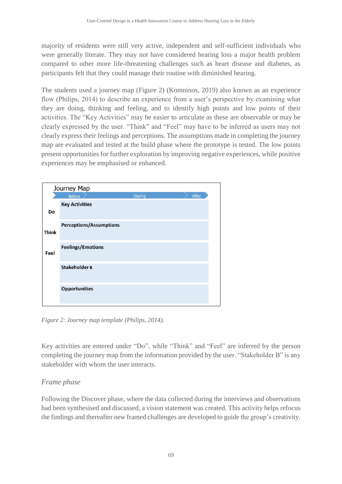majority of residents were still very active, independent and self-sufficient individuals who were generally literate. They may not have considered hearing loss a major health problem compared to other more life-threatening challenges such as heart disease and diabetes, as participants felt that they could manage their routine with diminished hearing.

The students used a journey map (Figure 2) (Komninos, 2019) also known as an experience flow (Philips, 2014) to describe an experience from a user's perspective by examining what they are doing, thinking and feeling, and to identify high points and low points of their activities. The "Key Activities" may be easier to articulate as these are observable or may be clearly expressed by the user. "Think" and "Feel" may have to be inferred as users may not clearly express their feelings and perceptions. The assumptions made in completing the journey map are evaluated and tested at the build phase where the prototype is tested. The low points present opportunities for further exploration by improving negative experiences, while positive experiences may be emphasised or enhanced.

| Journey Map  |                                |        |       |  |
|--------------|--------------------------------|--------|-------|--|
|              | <b>Before</b>                  | During | After |  |
| Do           | <b>Key Activities</b>          |        |       |  |
| <b>Think</b> | <b>Perceptions/Assumptions</b> |        |       |  |
| Feel         | <b>Feelings/Emotions</b>       |        |       |  |
|              | Stakeholder B                  |        |       |  |
|              | <b>Opportunities</b>           |        |       |  |

*Figure 2: Journey map template (Philips, 2014).*

Key activities are entered under "Do", while "Think" and "Feel" are inferred by the person completing the journey map from the information provided by the user. "Stakeholder B" is any stakeholder with whom the user interacts.

### *Frame phase*

Following the Discover phase, where the data collected during the interviews and observations had been synthesised and discussed, a vision statement was created. This activity helps refocus the findings and thereafter new framed challenges are developed to guide the group's creativity.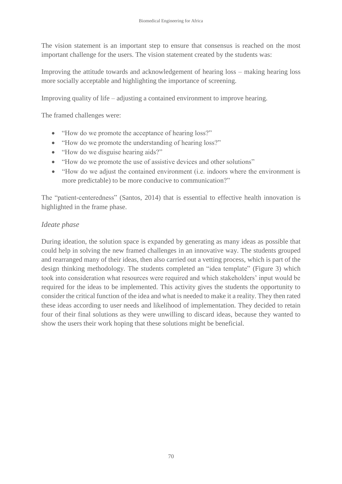The vision statement is an important step to ensure that consensus is reached on the most important challenge for the users. The vision statement created by the students was:

Improving the attitude towards and acknowledgement of hearing loss – making hearing loss more socially acceptable and highlighting the importance of screening.

Improving quality of life – adjusting a contained environment to improve hearing.

The framed challenges were:

- "How do we promote the acceptance of hearing loss?"
- "How do we promote the understanding of hearing loss?"
- "How do we disguise hearing aids?"
- "How do we promote the use of assistive devices and other solutions"
- "How do we adjust the contained environment (i.e. indoors where the environment is more predictable) to be more conducive to communication?"

The "patient-centeredness" (Santos, 2014) that is essential to effective health innovation is highlighted in the frame phase.

#### *Ideate phase*

During ideation, the solution space is expanded by generating as many ideas as possible that could help in solving the new framed challenges in an innovative way. The students grouped and rearranged many of their ideas, then also carried out a vetting process, which is part of the design thinking methodology. The students completed an "idea template" (Figure 3) which took into consideration what resources were required and which stakeholders' input would be required for the ideas to be implemented. This activity gives the students the opportunity to consider the critical function of the idea and what is needed to make it a reality. They then rated these ideas according to user needs and likelihood of implementation. They decided to retain four of their final solutions as they were unwilling to discard ideas, because they wanted to show the users their work hoping that these solutions might be beneficial.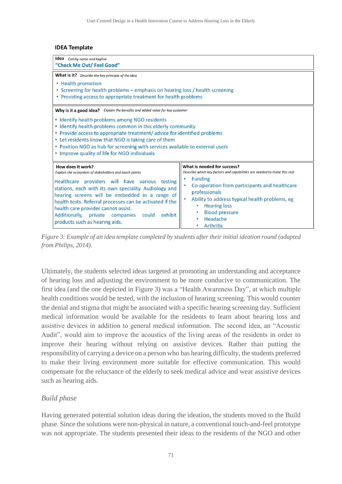#### **IDEA Template**

**Idea** Catchy name and tagline "Check Me Out/ Feel Good" What is it? Describe the key principle of the idea • Health promotion • Screening for health problems - emphasis on hearing loss / health screening • Providing access to appropriate treatment for health problems

Why is it a good idea? Explain the benefits and added value for key customer

- Identify health problems among NGO residents
- Identify health problems common in this elderly community
- Provide access to appropriate treatment/advice for identified problems
- Let residents know that NGO is taking care of them
- Position NGO as hub for screening with services available to external users
- Improve quality of life for NGO individuals

| How does it work?                                                                                                                                                                                                                                                                                                                                  | What is needed for success?                                                                                                                                                                                                  |
|----------------------------------------------------------------------------------------------------------------------------------------------------------------------------------------------------------------------------------------------------------------------------------------------------------------------------------------------------|------------------------------------------------------------------------------------------------------------------------------------------------------------------------------------------------------------------------------|
| Explain the ecosystem of stakeholders and touch points                                                                                                                                                                                                                                                                                             | Describe which key factors and capabilities are needed to make this real                                                                                                                                                     |
| Healthcare providers will have various testing<br>stations, each with its own speciality. Audiology and<br>hearing screens will be embedded in a range of<br>health tests. Referral processes can be activated if the<br>health care provider cannot assist.<br>Additionally, private companies could<br>exhibit<br>products such as hearing aids. | <b>Funding</b><br>Co-operation from participants and healthcare<br>professionals<br>Ability to address typical health problems, eg<br><b>Hearing loss</b><br>٠<br><b>Blood pressure</b><br>Headache<br>٠<br><b>Arthritis</b> |

*Figure 3: Example of an idea template completed by students after their initial ideation round (adapted from Philips, 2014).*

Ultimately, the students selected ideas targeted at promoting an understanding and acceptance of hearing loss and adjusting the environment to be more conducive to communication. The first idea (and the one depicted in Figure 3) was a "Health Awareness Day", at which multiple health conditions would be tested, with the inclusion of hearing screening. This would counter the denial and stigma that might be associated with a specific hearing screening day. Sufficient medical information would be available for the residents to learn about hearing loss and assistive devices in addition to general medical information. The second idea, an "Acoustic Audit", would aim to improve the acoustics of the living areas of the residents in order to improve their hearing without relying on assistive devices. Rather than putting the responsibility of carrying a device on a person who has hearing difficulty, the students preferred to make their living environment more suitable for effective communication. This would compensate for the reluctance of the elderly to seek medical advice and wear assistive devices such as hearing aids.

#### *Build phase*

Having generated potential solution ideas during the ideation, the students moved to the Build phase. Since the solutions were non-physical in nature, a conventional touch-and-feel prototype was not appropriate. The students presented their ideas to the residents of the NGO and other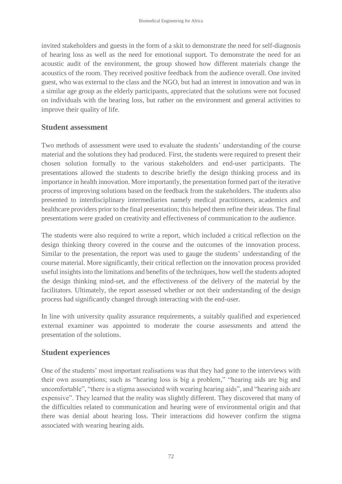invited stakeholders and guests in the form of a skit to demonstrate the need for self-diagnosis of hearing loss as well as the need for emotional support. To demonstrate the need for an acoustic audit of the environment, the group showed how different materials change the acoustics of the room. They received positive feedback from the audience overall. One invited guest, who was external to the class and the NGO, but had an interest in innovation and was in a similar age group as the elderly participants, appreciated that the solutions were not focused on individuals with the hearing loss, but rather on the environment and general activities to improve their quality of life.

### **Student assessment**

Two methods of assessment were used to evaluate the students' understanding of the course material and the solutions they had produced. First, the students were required to present their chosen solution formally to the various stakeholders and end-user participants. The presentations allowed the students to describe briefly the design thinking process and its importance in health innovation. More importantly, the presentation formed part of the iterative process of improving solutions based on the feedback from the stakeholders. The students also presented to interdisciplinary intermediaries namely medical practitioners, academics and healthcare providers prior to the final presentation; this helped them refine their ideas. The final presentations were graded on creativity and effectiveness of communication to the audience.

The students were also required to write a report, which included a critical reflection on the design thinking theory covered in the course and the outcomes of the innovation process. Similar to the presentation, the report was used to gauge the students' understanding of the course material. More significantly, their critical reflection on the innovation process provided useful insights into the limitations and benefits of the techniques, how well the students adopted the design thinking mind-set, and the effectiveness of the delivery of the material by the facilitators. Ultimately, the report assessed whether or not their understanding of the design process had significantly changed through interacting with the end-user.

In line with university quality assurance requirements, a suitably qualified and experienced external examiner was appointed to moderate the course assessments and attend the presentation of the solutions.

### **Student experiences**

One of the students' most important realisations was that they had gone to the interviews with their own assumptions; such as "hearing loss is big a problem," "hearing aids are big and uncomfortable", "there is a stigma associated with wearing hearing aids", and "hearing aids are expensive". They learned that the reality was slightly different. They discovered that many of the difficulties related to communication and hearing were of environmental origin and that there was denial about hearing loss. Their interactions did however confirm the stigma associated with wearing hearing aids.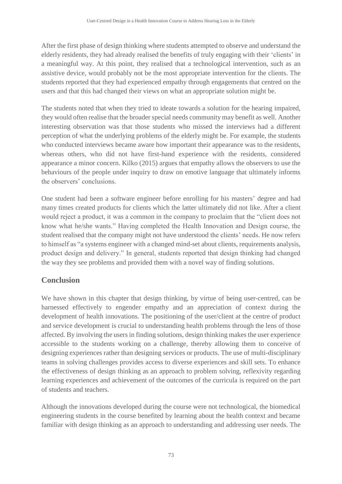After the first phase of design thinking where students attempted to observe and understand the elderly residents, they had already realised the benefits of truly engaging with their 'clients' in a meaningful way. At this point, they realised that a technological intervention, such as an assistive device, would probably not be the most appropriate intervention for the clients. The students reported that they had experienced empathy through engagements that centred on the users and that this had changed their views on what an appropriate solution might be.

The students noted that when they tried to ideate towards a solution for the hearing impaired, they would often realise that the broader special needs community may benefit as well. Another interesting observation was that those students who missed the interviews had a different perception of what the underlying problems of the elderly might be. For example, the students who conducted interviews became aware how important their appearance was to the residents, whereas others, who did not have first-hand experience with the residents, considered appearance a minor concern. Kilko (2015) argues that empathy allows the observers to use the behaviours of the people under inquiry to draw on emotive language that ultimately informs the observers' conclusions.

One student had been a software engineer before enrolling for his masters' degree and had many times created products for clients which the latter ultimately did not like. After a client would reject a product, it was a common in the company to proclaim that the "client does not know what he/she wants." Having completed the Health Innovation and Design course, the student realised that the company might not have understood the clients' needs. He now refers to himself as "a systems engineer with a changed mind-set about clients, requirements analysis, product design and delivery." In general, students reported that design thinking had changed the way they see problems and provided them with a novel way of finding solutions.

# **Conclusion**

We have shown in this chapter that design thinking, by virtue of being user-centred, can be harnessed effectively to engender empathy and an appreciation of context during the development of health innovations. The positioning of the user/client at the centre of product and service development is crucial to understanding health problems through the lens of those affected. By involving the users in finding solutions, design thinking makes the user experience accessible to the students working on a challenge, thereby allowing them to conceive of designing experiences rather than designing services or products. The use of multi-disciplinary teams in solving challenges provides access to diverse experiences and skill sets. To enhance the effectiveness of design thinking as an approach to problem solving, reflexivity regarding learning experiences and achievement of the outcomes of the curricula is required on the part of students and teachers.

Although the innovations developed during the course were not technological, the biomedical engineering students in the course benefited by learning about the health context and became familiar with design thinking as an approach to understanding and addressing user needs. The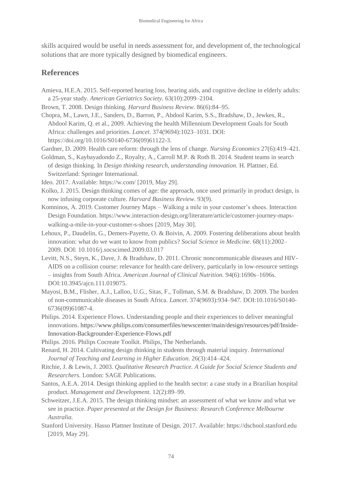skills acquired would be useful in needs assessment for, and development of, the technological solutions that are more typically designed by biomedical engineers.

### **References**

- Amieva, H.E.A. 2015. Self-reported hearing loss, hearing aids, and cognitive decline in elderly adults: a 25-year study. *American Geriatrics Society.* 63(10):2099–2104.
- Brown, T. 2008. Design thinking. *Harvard Business Review.* 86(6):84–95.
- Chopra, M., Lawn, J.E., Sanders, D., Barron, P., Abdool Karim, S.S., Bradshaw, D., Jewkes, R., Abdool Karim, Q. et al., 2009. Achieving the health Millennium Development Goals for South Africa: challenges and priorities. *Lancet*. 374(9694):1023–1031. DOI: https://doi.org/10.1016/S0140-6736(09)61122-3.
- Gardner, D. 2009. Health care reform: through the lens of change. *Nursing Economics* 27(6):419–421.
- Goldman, S., Kaybayadondo Z., Royalty, A., Carroll M.P. & Roth B. 2014. Student teams in search of design thinking. In *Design thinking research, understanding innovation.* H. Plattner, Ed. Switzerland: Springer International.
- Ideo. 2017. Available: https://w.com/ [2019, May 29].
- Kolko, J. 2015. Design thinking comes of age: the approach, once used primarily in product design, is now infusing corporate culture. *Harvard Business Review*. 93(9).
- Komninos, A. 2019. Customer Journey Maps Walking a mile in your customer's shoes. Interaction Design Foundation. [https://www.interaction-design.org/literature/article/customer-journey-maps](https://www.interaction-design.org/literature/article/customer-journey-maps-walking-a-mile-in-your-customer-s-shoes)[walking-a-mile-in-your-customer-s-shoes](https://www.interaction-design.org/literature/article/customer-journey-maps-walking-a-mile-in-your-customer-s-shoes) [2019, May 30].
- Lehoux, P., Daudelin, G., Demers-Payette, O. & Boivin, A. 2009. Fostering deliberations about health innovation: what do we want to know from publics? *Social Science in Medicine*. 68(11):2002– 2009. DOI: 10.1016/j.socscimed.2009.03.017
- Levitt, N.S., Steyn, K., Dave, J. & Bradshaw, D. 2011. Chronic noncommunicable diseases and HIV-AIDS on a collision course: relevance for health care delivery, particularly in low-resource settings – insights from South Africa. *American Journal of Clinical Nutrition.* 94(6):1690s–1696s. DOI:10.3945/ajcn.111.019075.
- Mayosi, B.M., Flisher, A.J., Lalloo, U.G., Sitas, F., Tollman, S.M. & Bradshaw, D. 2009. The burden of non-communicable diseases in South Africa. *Lancet*. 374(9693):934–947. DOI:10.1016/S0140- 6736(09)61087-4.
- Philips. 2014. Experience Flows. Understanding people and their experiences to deliver meaningful innovations. https://www.philips.com/consumerfiles/newscenter/main/design/resources/pdf/Inside-Innovation-Backgrounder-Experience-Flows.pdf
- Philips. 2016. Philips Cocreate Toolkit. Philips, The Netherlands.
- Renard, H. 2014. Cultivating design thinking in students through material inquiry. *International Journal of Teaching and Learning in Higher Education*. 26(3):414–424.
- Ritchie, J. & Lewis, J. 2003*. Qualitative Research Practice. A Guide for Social Science Students and Researchers.* London: SAGE Publications.
- Santos, A.E.A. 2014. Design thinking applied to the health sector: a case study in a Brazilian hospital product. *Management and Development.* 12(2):89–99.
- Schweitzer, J.E.A. 2015. The design thinking mindset: an assessment of what we know and what we see in practice. *Paper presented at the Design for Business: Research Conference Melbourne Australia.*
- Stanford University. Hasso Plattner Institute of Design. 2017. Available: https://dschool.stanford.edu [2019, May 29].